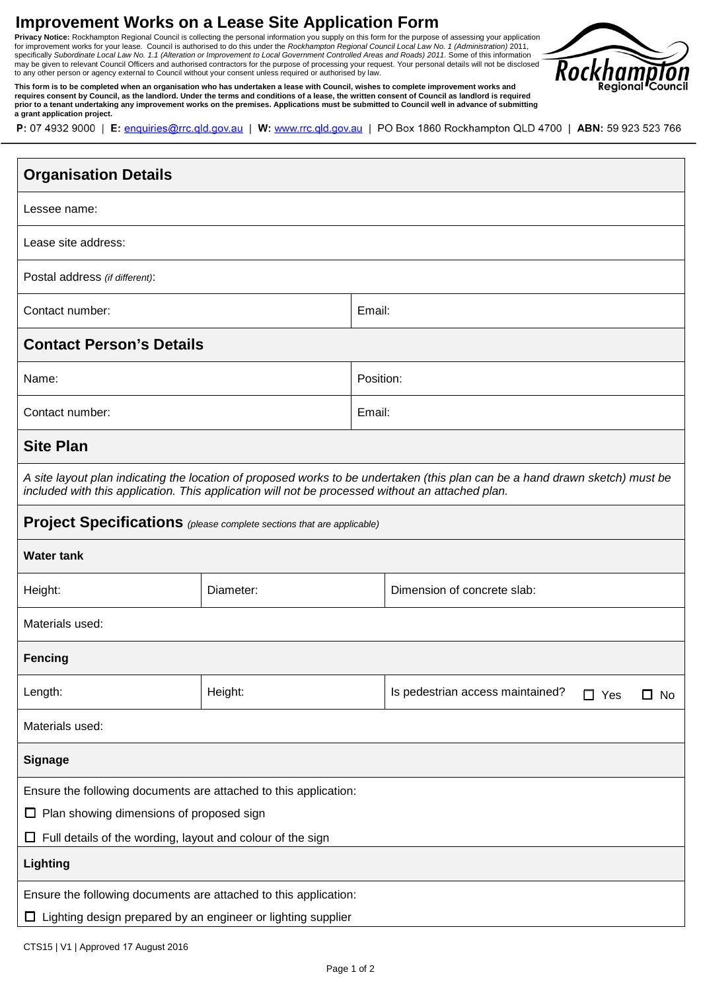# **Improvement Works on a Lease Site Application Form**

may be given to relevant Council Officers and authorised contractors for the purpose of processing your request. Your personal details will not be disclosed<br>to any other person or agency external to Council without your co **Privacy Notice:** Rockhampton Regional Council is collecting the personal information you supply on this form for the purpose of assessing your application<br>for improvement works for your lease. Council is authorised to do



This form is to be completed when an organisation who has undertaken a lease with Council, wishes to complete improvement works and<br>requires consent by Council, as the landlord. Under the terms and conditions of a lease, t **prior to a tenant undertaking any improvement works on the premises. Applications must be submitted to Council well in advance of submitting a grant application project.** 

| P: 07 4932 9000   E: enquiries@rrc.qld.gov.au   W: www.rrc.qld.gov.au   PO Box 1860 Rockhampton QLD 4700   ABN: 59 923 523 766 |  |  |  |
|--------------------------------------------------------------------------------------------------------------------------------|--|--|--|
|--------------------------------------------------------------------------------------------------------------------------------|--|--|--|

| <b>Organisation Details</b>                                                                                                                                                                                                      |           |           |                                                              |  |  |
|----------------------------------------------------------------------------------------------------------------------------------------------------------------------------------------------------------------------------------|-----------|-----------|--------------------------------------------------------------|--|--|
| Lessee name:                                                                                                                                                                                                                     |           |           |                                                              |  |  |
| Lease site address:                                                                                                                                                                                                              |           |           |                                                              |  |  |
| Postal address (if different):                                                                                                                                                                                                   |           |           |                                                              |  |  |
| Contact number:                                                                                                                                                                                                                  |           | Email:    |                                                              |  |  |
| <b>Contact Person's Details</b>                                                                                                                                                                                                  |           |           |                                                              |  |  |
| Name:                                                                                                                                                                                                                            |           | Position: |                                                              |  |  |
| Contact number:                                                                                                                                                                                                                  |           | Email:    |                                                              |  |  |
| <b>Site Plan</b>                                                                                                                                                                                                                 |           |           |                                                              |  |  |
| A site layout plan indicating the location of proposed works to be undertaken (this plan can be a hand drawn sketch) must be<br>included with this application. This application will not be processed without an attached plan. |           |           |                                                              |  |  |
| <b>Project Specifications</b> (please complete sections that are applicable)                                                                                                                                                     |           |           |                                                              |  |  |
| <b>Water tank</b>                                                                                                                                                                                                                |           |           |                                                              |  |  |
| Height:                                                                                                                                                                                                                          | Diameter: |           | Dimension of concrete slab:                                  |  |  |
| Materials used:                                                                                                                                                                                                                  |           |           |                                                              |  |  |
| <b>Fencing</b>                                                                                                                                                                                                                   |           |           |                                                              |  |  |
| Length:                                                                                                                                                                                                                          | Height:   |           | Is pedestrian access maintained?<br>$\square$ No<br>Yes<br>П |  |  |
| Materials used:                                                                                                                                                                                                                  |           |           |                                                              |  |  |
| <b>Signage</b>                                                                                                                                                                                                                   |           |           |                                                              |  |  |
| Ensure the following documents are attached to this application:                                                                                                                                                                 |           |           |                                                              |  |  |
| $\Box$ Plan showing dimensions of proposed sign                                                                                                                                                                                  |           |           |                                                              |  |  |
| Full details of the wording, layout and colour of the sign<br>ш                                                                                                                                                                  |           |           |                                                              |  |  |
| <b>Lighting</b>                                                                                                                                                                                                                  |           |           |                                                              |  |  |
| Ensure the following documents are attached to this application:                                                                                                                                                                 |           |           |                                                              |  |  |
| Lighting design prepared by an engineer or lighting supplier<br>ப                                                                                                                                                                |           |           |                                                              |  |  |